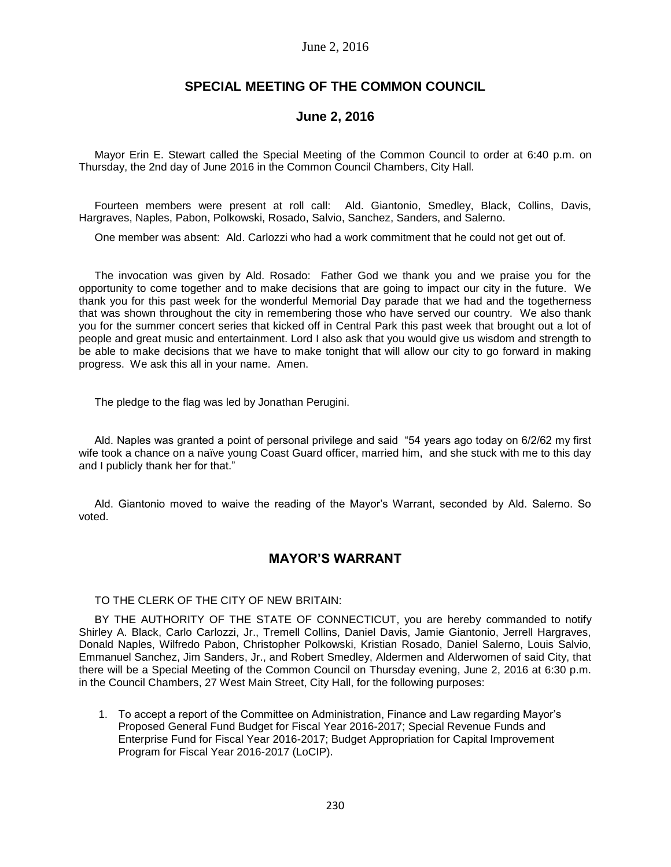### June 2, 2016

## **SPECIAL MEETING OF THE COMMON COUNCIL**

## **June 2, 2016**

Mayor Erin E. Stewart called the Special Meeting of the Common Council to order at 6:40 p.m. on Thursday, the 2nd day of June 2016 in the Common Council Chambers, City Hall.

Fourteen members were present at roll call: Ald. Giantonio, Smedley, Black, Collins, Davis, Hargraves, Naples, Pabon, Polkowski, Rosado, Salvio, Sanchez, Sanders, and Salerno.

One member was absent: Ald. Carlozzi who had a work commitment that he could not get out of.

The invocation was given by Ald. Rosado: Father God we thank you and we praise you for the opportunity to come together and to make decisions that are going to impact our city in the future. We thank you for this past week for the wonderful Memorial Day parade that we had and the togetherness that was shown throughout the city in remembering those who have served our country. We also thank you for the summer concert series that kicked off in Central Park this past week that brought out a lot of people and great music and entertainment. Lord I also ask that you would give us wisdom and strength to be able to make decisions that we have to make tonight that will allow our city to go forward in making progress. We ask this all in your name. Amen.

The pledge to the flag was led by Jonathan Perugini.

Ald. Naples was granted a point of personal privilege and said "54 years ago today on 6/2/62 my first wife took a chance on a naïve young Coast Guard officer, married him, and she stuck with me to this day and I publicly thank her for that."

Ald. Giantonio moved to waive the reading of the Mayor's Warrant, seconded by Ald. Salerno. So voted.

## **MAYOR'S WARRANT**

TO THE CLERK OF THE CITY OF NEW BRITAIN:

BY THE AUTHORITY OF THE STATE OF CONNECTICUT, you are hereby commanded to notify Shirley A. Black, Carlo Carlozzi, Jr., Tremell Collins, Daniel Davis, Jamie Giantonio, Jerrell Hargraves, Donald Naples, Wilfredo Pabon, Christopher Polkowski, Kristian Rosado, Daniel Salerno, Louis Salvio, Emmanuel Sanchez, Jim Sanders, Jr., and Robert Smedley, Aldermen and Alderwomen of said City, that there will be a Special Meeting of the Common Council on Thursday evening, June 2, 2016 at 6:30 p.m. in the Council Chambers, 27 West Main Street, City Hall, for the following purposes:

1. To accept a report of the Committee on Administration, Finance and Law regarding Mayor's Proposed General Fund Budget for Fiscal Year 2016-2017; Special Revenue Funds and Enterprise Fund for Fiscal Year 2016-2017; Budget Appropriation for Capital Improvement Program for Fiscal Year 2016-2017 (LoCIP).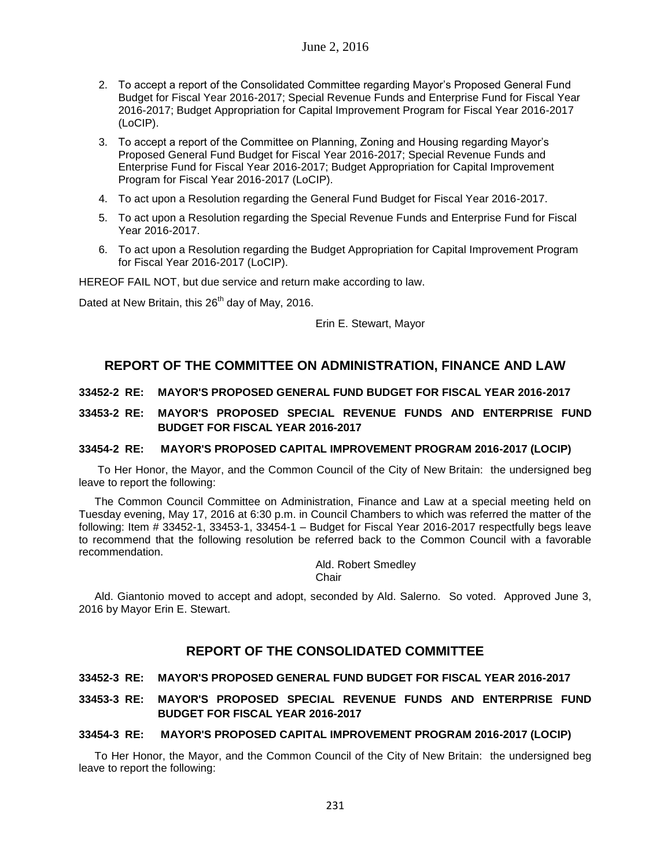- 2. To accept a report of the Consolidated Committee regarding Mayor's Proposed General Fund Budget for Fiscal Year 2016-2017; Special Revenue Funds and Enterprise Fund for Fiscal Year 2016-2017; Budget Appropriation for Capital Improvement Program for Fiscal Year 2016-2017 (LoCIP).
- 3. To accept a report of the Committee on Planning, Zoning and Housing regarding Mayor's Proposed General Fund Budget for Fiscal Year 2016-2017; Special Revenue Funds and Enterprise Fund for Fiscal Year 2016-2017; Budget Appropriation for Capital Improvement Program for Fiscal Year 2016-2017 (LoCIP).
- 4. To act upon a Resolution regarding the General Fund Budget for Fiscal Year 2016-2017.
- 5. To act upon a Resolution regarding the Special Revenue Funds and Enterprise Fund for Fiscal Year 2016-2017.
- 6. To act upon a Resolution regarding the Budget Appropriation for Capital Improvement Program for Fiscal Year 2016-2017 (LoCIP).

HEREOF FAIL NOT, but due service and return make according to law.

Dated at New Britain, this  $26<sup>th</sup>$  day of May, 2016.

Erin E. Stewart, Mayor

# **REPORT OF THE COMMITTEE ON ADMINISTRATION, FINANCE AND LAW**

### **33452-2 RE: MAYOR'S PROPOSED GENERAL FUND BUDGET FOR FISCAL YEAR 2016-2017**

**33453-2 RE: MAYOR'S PROPOSED SPECIAL REVENUE FUNDS AND ENTERPRISE FUND BUDGET FOR FISCAL YEAR 2016-2017**

### **33454-2 RE: MAYOR'S PROPOSED CAPITAL IMPROVEMENT PROGRAM 2016-2017 (LOCIP)**

To Her Honor, the Mayor, and the Common Council of the City of New Britain: the undersigned beg leave to report the following:

The Common Council Committee on Administration, Finance and Law at a special meeting held on Tuesday evening, May 17, 2016 at 6:30 p.m. in Council Chambers to which was referred the matter of the following: Item # 33452-1, 33453-1, 33454-1 – Budget for Fiscal Year 2016-2017 respectfully begs leave to recommend that the following resolution be referred back to the Common Council with a favorable recommendation.

Ald. Robert Smedley

**Chair** 

Ald. Giantonio moved to accept and adopt, seconded by Ald. Salerno. So voted. Approved June 3, 2016 by Mayor Erin E. Stewart.

## **REPORT OF THE CONSOLIDATED COMMITTEE**

### **33452-3 RE: MAYOR'S PROPOSED GENERAL FUND BUDGET FOR FISCAL YEAR 2016-2017**

## **33453-3 RE: MAYOR'S PROPOSED SPECIAL REVENUE FUNDS AND ENTERPRISE FUND BUDGET FOR FISCAL YEAR 2016-2017**

### **33454-3 RE: MAYOR'S PROPOSED CAPITAL IMPROVEMENT PROGRAM 2016-2017 (LOCIP)**

To Her Honor, the Mayor, and the Common Council of the City of New Britain: the undersigned beg leave to report the following: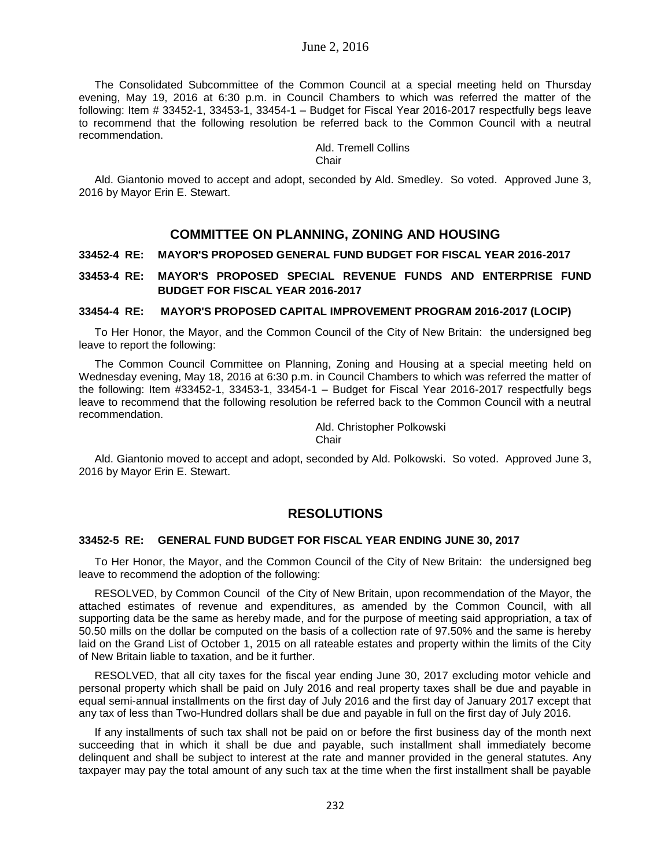The Consolidated Subcommittee of the Common Council at a special meeting held on Thursday evening, May 19, 2016 at 6:30 p.m. in Council Chambers to which was referred the matter of the following: Item # 33452-1, 33453-1, 33454-1 – Budget for Fiscal Year 2016-2017 respectfully begs leave to recommend that the following resolution be referred back to the Common Council with a neutral recommendation.

> Ald. Tremell Collins Chair

Ald. Giantonio moved to accept and adopt, seconded by Ald. Smedley. So voted. Approved June 3, 2016 by Mayor Erin E. Stewart.

## **COMMITTEE ON PLANNING, ZONING AND HOUSING**

### **33452-4 RE: MAYOR'S PROPOSED GENERAL FUND BUDGET FOR FISCAL YEAR 2016-2017**

### **33453-4 RE: MAYOR'S PROPOSED SPECIAL REVENUE FUNDS AND ENTERPRISE FUND BUDGET FOR FISCAL YEAR 2016-2017**

#### **33454-4 RE: MAYOR'S PROPOSED CAPITAL IMPROVEMENT PROGRAM 2016-2017 (LOCIP)**

To Her Honor, the Mayor, and the Common Council of the City of New Britain: the undersigned beg leave to report the following:

The Common Council Committee on Planning, Zoning and Housing at a special meeting held on Wednesday evening, May 18, 2016 at 6:30 p.m. in Council Chambers to which was referred the matter of the following: Item #33452-1, 33453-1, 33454-1 – Budget for Fiscal Year 2016-2017 respectfully begs leave to recommend that the following resolution be referred back to the Common Council with a neutral recommendation.

> Ald. Christopher Polkowski Chair

Ald. Giantonio moved to accept and adopt, seconded by Ald. Polkowski. So voted. Approved June 3, 2016 by Mayor Erin E. Stewart.

## **RESOLUTIONS**

#### **33452-5 RE: GENERAL FUND BUDGET FOR FISCAL YEAR ENDING JUNE 30, 2017**

To Her Honor, the Mayor, and the Common Council of the City of New Britain: the undersigned beg leave to recommend the adoption of the following:

RESOLVED, by Common Council of the City of New Britain, upon recommendation of the Mayor, the attached estimates of revenue and expenditures, as amended by the Common Council, with all supporting data be the same as hereby made, and for the purpose of meeting said appropriation, a tax of 50.50 mills on the dollar be computed on the basis of a collection rate of 97.50% and the same is hereby laid on the Grand List of October 1, 2015 on all rateable estates and property within the limits of the City of New Britain liable to taxation, and be it further.

RESOLVED, that all city taxes for the fiscal year ending June 30, 2017 excluding motor vehicle and personal property which shall be paid on July 2016 and real property taxes shall be due and payable in equal semi-annual installments on the first day of July 2016 and the first day of January 2017 except that any tax of less than Two-Hundred dollars shall be due and payable in full on the first day of July 2016.

If any installments of such tax shall not be paid on or before the first business day of the month next succeeding that in which it shall be due and payable, such installment shall immediately become delinquent and shall be subject to interest at the rate and manner provided in the general statutes. Any taxpayer may pay the total amount of any such tax at the time when the first installment shall be payable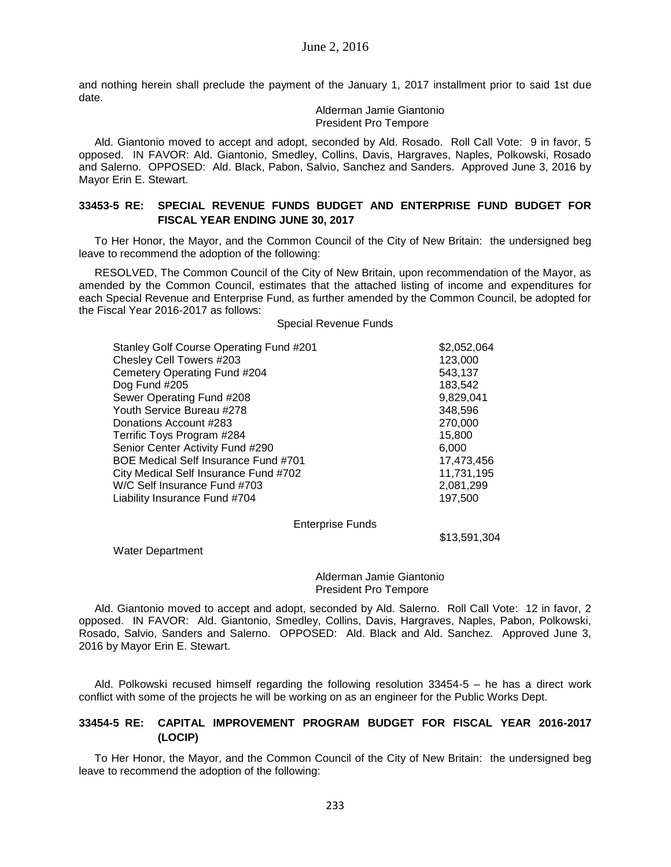and nothing herein shall preclude the payment of the January 1, 2017 installment prior to said 1st due date.

> Alderman Jamie Giantonio President Pro Tempore

Ald. Giantonio moved to accept and adopt, seconded by Ald. Rosado. Roll Call Vote: 9 in favor, 5 opposed. IN FAVOR: Ald. Giantonio, Smedley, Collins, Davis, Hargraves, Naples, Polkowski, Rosado and Salerno. OPPOSED: Ald. Black, Pabon, Salvio, Sanchez and Sanders. Approved June 3, 2016 by Mayor Erin E. Stewart.

### **33453-5 RE: SPECIAL REVENUE FUNDS BUDGET AND ENTERPRISE FUND BUDGET FOR FISCAL YEAR ENDING JUNE 30, 2017**

To Her Honor, the Mayor, and the Common Council of the City of New Britain: the undersigned beg leave to recommend the adoption of the following:

RESOLVED, The Common Council of the City of New Britain, upon recommendation of the Mayor, as amended by the Common Council, estimates that the attached listing of income and expenditures for each Special Revenue and Enterprise Fund, as further amended by the Common Council, be adopted for the Fiscal Year 2016-2017 as follows:

#### Special Revenue Funds

| Stanley Golf Course Operating Fund #201 | \$2,052,064 |
|-----------------------------------------|-------------|
| Chesley Cell Towers #203                | 123,000     |
| Cemetery Operating Fund #204            | 543,137     |
| Dog Fund #205                           | 183,542     |
| Sewer Operating Fund #208               | 9,829,041   |
| Youth Service Bureau #278               | 348,596     |
| Donations Account #283                  | 270,000     |
| Terrific Toys Program #284              | 15,800      |
| Senior Center Activity Fund #290        | 6,000       |
| BOE Medical Self Insurance Fund #701    | 17,473,456  |
| City Medical Self Insurance Fund #702   | 11,731,195  |
| W/C Self Insurance Fund #703            | 2,081,299   |
| Liability Insurance Fund #704           | 197,500     |
|                                         |             |

Enterprise Funds

\$13,591,304

Water Department

#### Alderman Jamie Giantonio President Pro Tempore

Ald. Giantonio moved to accept and adopt, seconded by Ald. Salerno. Roll Call Vote: 12 in favor, 2 opposed. IN FAVOR: Ald. Giantonio, Smedley, Collins, Davis, Hargraves, Naples, Pabon, Polkowski, Rosado, Salvio, Sanders and Salerno. OPPOSED: Ald. Black and Ald. Sanchez. Approved June 3, 2016 by Mayor Erin E. Stewart.

Ald. Polkowski recused himself regarding the following resolution 33454-5 – he has a direct work conflict with some of the projects he will be working on as an engineer for the Public Works Dept.

### **33454-5 RE: CAPITAL IMPROVEMENT PROGRAM BUDGET FOR FISCAL YEAR 2016-2017 (LOCIP)**

To Her Honor, the Mayor, and the Common Council of the City of New Britain: the undersigned beg leave to recommend the adoption of the following: